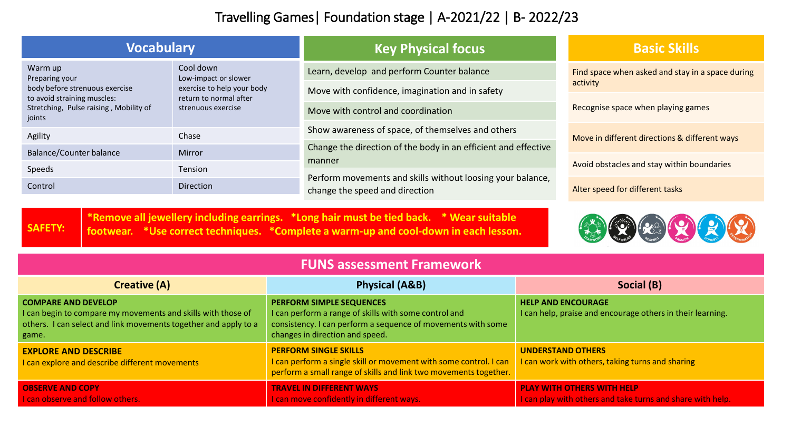## Travelling Games| Foundation stage | A-2021/22 | B- 2022/23

| <b>Vocabulary</b>                                                                                                                              |                                                                                                                 | <b>Key Physical focus</b>                                                                    | <b>Basic Skills</b>                              |
|------------------------------------------------------------------------------------------------------------------------------------------------|-----------------------------------------------------------------------------------------------------------------|----------------------------------------------------------------------------------------------|--------------------------------------------------|
| Warm up<br>Preparing your<br>body before strenuous exercise<br>to avoid straining muscles:<br>Stretching, Pulse raising, Mobility of<br>joints | Cool down<br>Low-impact or slower<br>exercise to help your body<br>return to normal after<br>strenuous exercise | Learn, develop and perform Counter balance                                                   | Find space when asked and stay in a space during |
|                                                                                                                                                |                                                                                                                 | Move with confidence, imagination and in safety                                              | activity                                         |
|                                                                                                                                                |                                                                                                                 | Move with control and coordination                                                           | Recognise space when playing games               |
| Agility                                                                                                                                        | Chase                                                                                                           | Show awareness of space, of themselves and others                                            | Move in different directions & different ways    |
| <b>Balance/Counter balance</b>                                                                                                                 | Mirror                                                                                                          | Change the direction of the body in an efficient and effective                               |                                                  |
| Speeds                                                                                                                                         | Tension                                                                                                         | manner                                                                                       | Avoid obstacles and stay within boundaries       |
| Control                                                                                                                                        | <b>Direction</b>                                                                                                | Perform movements and skills without loosing your balance,<br>change the speed and direction | Alter speed for different tasks                  |

**SAFETY:** 

**\*Remove all jewellery including earrings. \*Long hair must be tied back. \* Wear suitable footwear. \*Use correct techniques. \*Complete a warm-up and cool-down in each lesson.**

## 2020202

## **FUNS assessment Framework**

| <b>Creative (A)</b>                                                                                                                                                    | <b>Physical (A&amp;B)</b>                                                                                                                                                                   | Social (B)                                                                                      |
|------------------------------------------------------------------------------------------------------------------------------------------------------------------------|---------------------------------------------------------------------------------------------------------------------------------------------------------------------------------------------|-------------------------------------------------------------------------------------------------|
| <b>COMPARE AND DEVELOP</b><br>I can begin to compare my movements and skills with those of<br>others. I can select and link movements together and apply to a<br>game. | <b>PERFORM SIMPLE SEQUENCES</b><br>I can perform a range of skills with some control and<br>consistency. I can perform a sequence of movements with some<br>changes in direction and speed. | <b>HELP AND ENCOURAGE</b><br>I can help, praise and encourage others in their learning.         |
| <b>EXPLORE AND DESCRIBE</b><br>I can explore and describe different movements                                                                                          | <b>PERFORM SINGLE SKILLS</b><br>I can perform a single skill or movement with some control. I can<br>perform a small range of skills and link two movements together.                       | <b>UNDERSTAND OTHERS</b><br>I can work with others, taking turns and sharing                    |
| <b>OBSERVE AND COPY</b><br>I can observe and follow others.                                                                                                            | <b>TRAVEL IN DIFFERENT WAYS</b><br>I can move confidently in different ways.                                                                                                                | <b>PLAY WITH OTHERS WITH HELP</b><br>I can play with others and take turns and share with help. |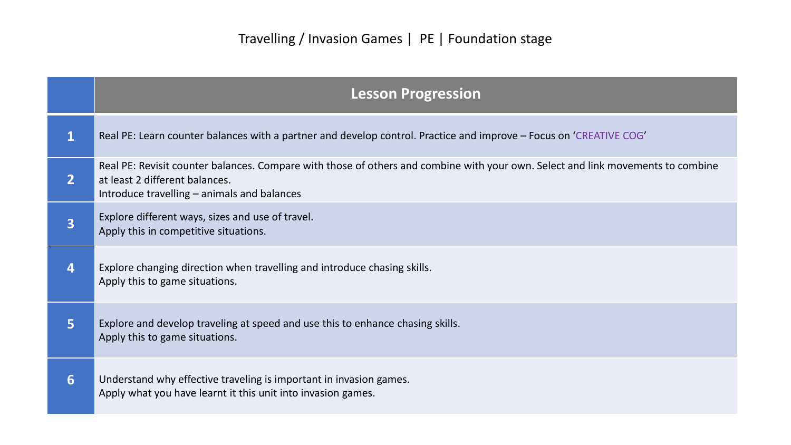|                | <b>Lesson Progression</b>                                                                                                                                                                                        |
|----------------|------------------------------------------------------------------------------------------------------------------------------------------------------------------------------------------------------------------|
|                | Real PE: Learn counter balances with a partner and develop control. Practice and improve – Focus on 'CREATIVE COG'                                                                                               |
| $\overline{2}$ | Real PE: Revisit counter balances. Compare with those of others and combine with your own. Select and link movements to combine<br>at least 2 different balances.<br>Introduce travelling – animals and balances |
| 3              | Explore different ways, sizes and use of travel.<br>Apply this in competitive situations.                                                                                                                        |
| 4              | Explore changing direction when travelling and introduce chasing skills.<br>Apply this to game situations.                                                                                                       |
| 5              | Explore and develop traveling at speed and use this to enhance chasing skills.<br>Apply this to game situations.                                                                                                 |
| 6              | Understand why effective traveling is important in invasion games.<br>Apply what you have learnt it this unit into invasion games.                                                                               |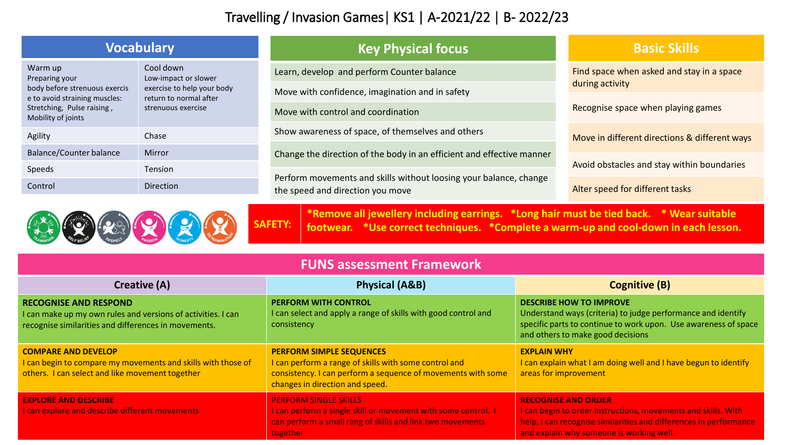## Travelling / Invasion Games| KS1 | A-2021/22 | B- 2022/23

| <b>Vocabulary</b>                                                                                                                               |                                                                                                                 | <b>Key Physical focus</b>                                                                             | <b>Basic Skills</b>                           |
|-------------------------------------------------------------------------------------------------------------------------------------------------|-----------------------------------------------------------------------------------------------------------------|-------------------------------------------------------------------------------------------------------|-----------------------------------------------|
| Warm up<br>Preparing your<br>body before strenuous exercis<br>e to avoid straining muscles:<br>Stretching, Pulse raising,<br>Mobility of joints | Cool down<br>Low-impact or slower<br>exercise to help your body<br>return to normal after<br>strenuous exercise | Learn, develop and perform Counter balance                                                            | Find space when asked and stay in a space     |
|                                                                                                                                                 |                                                                                                                 | Move with confidence, imagination and in safety                                                       | during activity                               |
|                                                                                                                                                 |                                                                                                                 | Move with control and coordination                                                                    | Recognise space when playing games            |
| Agility                                                                                                                                         | Chase                                                                                                           | Show awareness of space, of themselves and others                                                     | Move in different directions & different ways |
| <b>Balance/Counter balance</b>                                                                                                                  | <b>Mirror</b>                                                                                                   | Change the direction of the body in an efficient and effective manner                                 | Avoid obstacles and stay within boundaries    |
| Speeds                                                                                                                                          | Tension                                                                                                         | Perform movements and skills without loosing your balance, change<br>the speed and direction you move |                                               |
| Control                                                                                                                                         | <b>Direction</b>                                                                                                |                                                                                                       | Alter speed for different tasks               |



**SAFETY: \*Remove all jewellery including earrings. \*Long hair must be tied back. \* Wear suitable footwear. \*Use correct techniques. \*Complete a warm-up and cool-down in each lesson.**

| <b>FUNS assessment Framework</b>                                                                                                                     |                                                                                                                                                                                             |                                                                                                                                                                                                              |
|------------------------------------------------------------------------------------------------------------------------------------------------------|---------------------------------------------------------------------------------------------------------------------------------------------------------------------------------------------|--------------------------------------------------------------------------------------------------------------------------------------------------------------------------------------------------------------|
| <b>Creative (A)</b>                                                                                                                                  | <b>Physical (A&amp;B)</b>                                                                                                                                                                   | <b>Cognitive (B)</b>                                                                                                                                                                                         |
| <b>RECOGNISE AND RESPOND</b><br>I can make up my own rules and versions of activities. I can<br>recognise similarities and differences in movements. | <b>PERFORM WITH CONTROL</b><br>I can select and apply a range of skills with good control and<br>consistency                                                                                | <b>DESCRIBE HOW TO IMPROVE</b><br>Understand ways (criteria) to judge performance and identify<br>specific parts to continue to work upon. Use awareness of space<br>and others to make good decisions       |
| <b>COMPARE AND DEVELOP</b><br>I can begin to compare my movements and skills with those of<br>others. I can select and like movement together        | <b>PERFORM SIMPLE SEQUENCES</b><br>I can perform a range of skills with some control and<br>consistency. I can perform a sequence of movements with some<br>changes in direction and speed. | <b>EXPLAIN WHY</b><br>I can explain what I am doing well and I have begun to identify<br>areas for improvement                                                                                               |
| <b>EXPLORE AND DESCRIBE</b><br>I can explore and describe different movements                                                                        | <b>PERFORM SINGLE SKILLS</b><br>I can perform a single skill or movement with some control. I<br>can perform a small rang of skills and link two movements<br>together                      | <b>RECOGNISE AND ORDER</b><br>I can begin to order instructions, movements and skills. With<br>help, I can recognise similarities and differences in performance<br>and explain why someone is working well. |